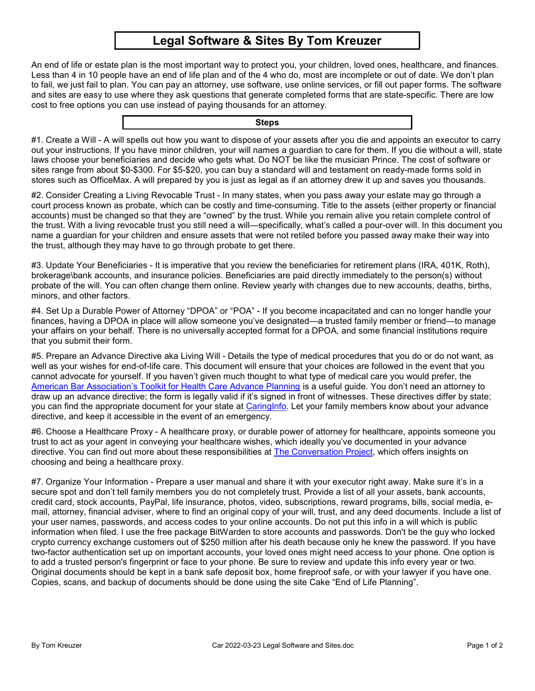# Legal Software & Sites By Tom Kreuzer

An end of life or estate plan is the most important way to protect you, your children, loved ones, healthcare, and finances. Less than 4 in 10 people have an end of life plan and of the 4 who do, most are incomplete or out of date. We don't plan to fail, we just fail to plan. You can pay an attorney, use software, use online services, or fill out paper forms. The software and sites are easy to use where they ask questions that generate completed forms that are state-specific. There are low cost to free options you can use instead of paying thousands for an attorney.

#### Steps

#1. Create a Will - A will spells out how you want to dispose of your assets after you die and appoints an executor to carry out your instructions. If you have minor children, your will names a guardian to care for them. If you die without a will, state laws choose your beneficiaries and decide who gets what. Do NOT be like the musician Prince. The cost of software or sites range from about \$0-\$300. For \$5-\$20, you can buy a standard will and testament on ready-made forms sold in stores such as OfficeMax. A will prepared by you is just as legal as if an attorney drew it up and saves you thousands.

#2. Consider Creating a Living Revocable Trust - In many states, when you pass away your estate may go through a court process known as probate, which can be costly and time-consuming. Title to the assets (either property or financial accounts) must be changed so that they are "owned" by the trust. While you remain alive you retain complete control of the trust. With a living revocable trust you still need a will—specifically, what's called a pour-over will. In this document you name a guardian for your children and ensure assets that were not retiled before you passed away make their way into the trust, although they may have to go through probate to get there.

#3. Update Your Beneficiaries - It is imperative that you review the beneficiaries for retirement plans (IRA, 401K, Roth), brokerage\bank accounts, and insurance policies. Beneficiaries are paid directly immediately to the person(s) without probate of the will. You can often change them online. Review yearly with changes due to new accounts, deaths, births, minors, and other factors.

#4. Set Up a Durable Power of Attorney "DPOA" or "POA" - If you become incapacitated and can no longer handle your finances, having a DPOA in place will allow someone you've designated—a trusted family member or friend—to manage your affairs on your behalf. There is no universally accepted format for a DPOA, and some financial institutions require that you submit their form.

#5. Prepare an Advance Directive aka Living Will - Details the type of medical procedures that you do or do not want, as well as your wishes for end-of-life care. This document will ensure that your choices are followed in the event that you cannot advocate for yourself. If you haven't given much thought to what type of medical care you would prefer, the American Bar Association's Toolkit for Health Care Advance Planning is a useful guide. You don't need an attorney to draw up an advance directive; the form is legally valid if it's signed in front of witnesses. These directives differ by state; you can find the appropriate document for your state at CaringInfo. Let your family members know about your advance directive, and keep it accessible in the event of an emergency.

#6. Choose a Healthcare Proxy - A healthcare proxy, or durable power of attorney for healthcare, appoints someone you trust to act as your agent in conveying your healthcare wishes, which ideally you've documented in your advance directive. You can find out more about these responsibilities at The Conversation Project, which offers insights on choosing and being a healthcare proxy.

#7. Organize Your Information - Prepare a user manual and share it with your executor right away. Make sure it's in a secure spot and don't tell family members you do not completely trust. Provide a list of all your assets, bank accounts, credit card, stock accounts, PayPal, life insurance, photos, video, subscriptions, reward programs, bills, social media, email, attorney, financial adviser, where to find an original copy of your will, trust, and any deed documents. Include a list of your user names, passwords, and access codes to your online accounts. Do not put this info in a will which is public information when filed. I use the free package BitWarden to store accounts and passwords. Don't be the guy who locked crypto currency exchange customers out of \$250 million after his death because only he knew the password. If you have two-factor authentication set up on important accounts, your loved ones might need access to your phone. One option is to add a trusted person's fingerprint or face to your phone. Be sure to review and update this info every year or two. Original documents should be kept in a bank safe deposit box, home fireproof safe, or with your lawyer if you have one. Copies, scans, and backup of documents should be done using the site Cake "End of Life Planning".